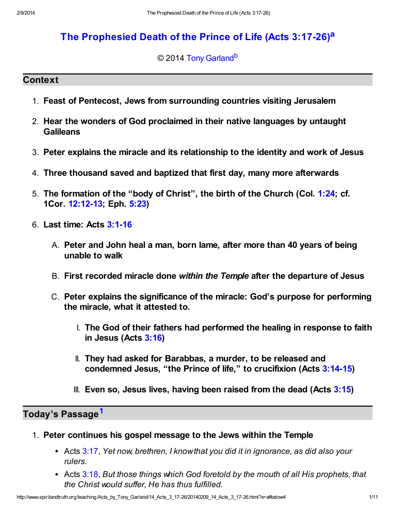# [The Prophesied Death of the Prince of Life \(Acts 3:17-26\)](http://www.spiritandtruth.org/teaching/Acts_by_Tony_Garland/14_Acts_3_17-26/index.htm)<sup>[a](#page-10-0)</sup>

<span id="page-0-2"></span><span id="page-0-1"></span>© 2014 [Tony Garland](http://www.spiritandtruth.org/id/tg.htm)<sup>[b](#page-10-1)</sup>

### **Context**

- 1. Feast of Pentecost, Jews from surrounding countries visiting Jerusalem
- 2. Hear the wonders of God proclaimed in their native languages by untaught **Galileans**
- 3. Peter explains the miracle and its relationship to the identity and work of Jesus
- 4. Three thousand saved and baptized that first day, many more afterwards
- 5. The formation of the "body of Christ", the birth of the Church (Col. [1:24](http://www.spiritandtruth.org/bibles/nasb/b51c001.htm#Col._C1V24); cf. 1Cor. [12:12-13;](http://www.spiritandtruth.org/bibles/nasb/b46c012.htm#1Cor._C12V12) Eph. [5:23\)](http://www.spiritandtruth.org/bibles/nasb/b49c005.htm#Eph._C5V23)
- 6. Last time: Acts [3:1-16](http://www.spiritandtruth.org/bibles/nasb/b44c003.htm#Acts_C3V1)
	- A. Peter and John heal a man, born lame, after more than 40 years of being unable to walk
	- B. First recorded miracle done within the Temple after the departure of Jesus
	- C. Peter explains the significance of the miracle: God's purpose for performing the miracle, what it attested to.
		- I. The God of their fathers had performed the healing in response to faith in Jesus (Acts [3:16\)](http://www.spiritandtruth.org/bibles/nasb/b44c003.htm#Acts_C3V16)
		- II. They had asked for Barabbas, a murder, to be released and condemned Jesus, "the Prince of life," to crucifixion (Acts [3:14-15\)](http://www.spiritandtruth.org/bibles/nasb/b44c003.htm#Acts_C3V14)
		- III. Even so, Jesus lives, having been raised from the dead (Acts  $3:15$ )

Today's Passage<sup>[1](#page-9-0)</sup>

- <span id="page-0-0"></span>1. Peter continues his gospel message to the Jews within the Temple
	- Acts [3:17](http://www.spiritandtruth.org/bibles/nasb/b44c003.htm#Acts_C3V17), Yet now, brethren, I know that you did it in ignorance, as did also your rulers.
	- Acts [3:18](http://www.spiritandtruth.org/bibles/nasb/b44c003.htm#Acts_C3V18), But those things which God foretold by the mouth of all His prophets, that the Christ would suffer, He has thus fulfilled.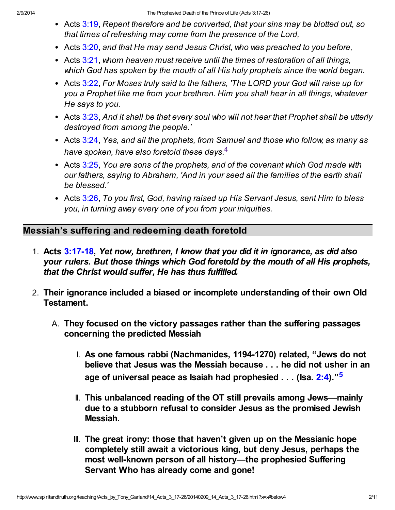- Acts [3:19](http://www.spiritandtruth.org/bibles/nasb/b44c003.htm#Acts_C3V19), Repent therefore and be converted, that your sins may be blotted out, so that times of refreshing may come from the presence of the Lord,
- Acts [3:20](http://www.spiritandtruth.org/bibles/nasb/b44c003.htm#Acts_C3V20), and that He may send Jesus Christ, who was preached to you before,
- Acts [3:21](http://www.spiritandtruth.org/bibles/nasb/b44c003.htm#Acts_C3V21), whom heaven must receive until the times of restoration of all things, which God has spoken by the mouth of all His holy prophets since the world began.
- Acts [3:22](http://www.spiritandtruth.org/bibles/nasb/b44c003.htm#Acts_C3V22), For Moses truly said to the fathers, 'The LORD your God will raise up for you a Prophet like me from your brethren. Him you shall hear in all things, whatever He says to you.
- Acts [3:23](http://www.spiritandtruth.org/bibles/nasb/b44c003.htm#Acts_C3V23), And it shall be that every soul who will not hear that Prophet shall be utterly destroyed from among the people.'
- <span id="page-1-0"></span>• Acts [3:24](http://www.spiritandtruth.org/bibles/nasb/b44c003.htm#Acts_C3V24), Yes, and all the prophets, from Samuel and those who follow, as many as have spoken, have also foretold these days. $4$
- Acts [3:25](http://www.spiritandtruth.org/bibles/nasb/b44c003.htm#Acts_C3V25), You are sons of the prophets, and of the covenant which God made with our fathers, saying to Abraham, 'And in your seed all the families of the earth shall be blessed.'
- Acts [3:26](http://www.spiritandtruth.org/bibles/nasb/b44c003.htm#Acts_C3V26), To you first, God, having raised up His Servant Jesus, sent Him to bless you, in turning away every one of you from your iniquities.

# Messiah's suffering and redeeming death foretold

- 1. Acts [3:17-18](http://www.spiritandtruth.org/bibles/nasb/b44c003.htm#Acts_C3V17), Yet now, brethren, I know that you did it in ignorance, as did also your rulers. But those things which God foretold by the mouth of all His prophets, that the Christ would suffer, He has thus fulfilled.
- <span id="page-1-1"></span>2. Their ignorance included a biased or incomplete understanding of their own Old Testament.
	- A. They focused on the victory passages rather than the suffering passages concerning the predicted Messiah
		- I. As one famous rabbi (Nachmanides, 1194-1270) related, "Jews do not believe that Jesus was the Messiah because . . . he did not usher in an age of universal peace as Isaiah had prophesied . . . (Isa. [2:4\)](http://www.spiritandtruth.org/bibles/nasb/b23c002.htm#Isa._C2V4)."<sup>[5](#page-9-2)</sup>
		- II. This unbalanced reading of the OT still prevails among Jews—mainly due to a stubborn refusal to consider Jesus as the promised Jewish Messiah.
		- III. The great irony: those that haven't given up on the Messianic hope completely still await a victorious king, but deny Jesus, perhaps the most well-known person of all history—the prophesied Suffering Servant Who has already come and gone!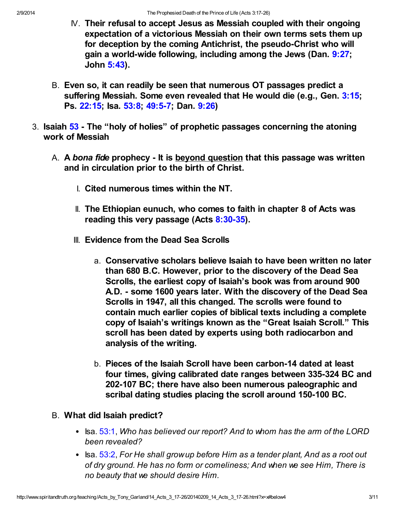- $N$ . Their refusal to accept Jesus as Messiah coupled with their ongoing expectation of a victorious Messiah on their own terms sets them up for deception by the coming Antichrist, the pseudo-Christ who will gain a world-wide following, including among the Jews (Dan. [9:27;](http://www.spiritandtruth.org/bibles/nasb/b27c009.htm#Dan._C9V27) John [5:43](http://www.spiritandtruth.org/bibles/nasb/b43c005.htm#John_C5V43)).
- B. Even so, it can readily be seen that numerous OT passages predict a suffering Messiah. Some even revealed that He would die (e.g., Gen. [3:15;](http://www.spiritandtruth.org/bibles/nasb/b01c003.htm#Gen._C3V15) Ps. [22:15](http://www.spiritandtruth.org/bibles/nasb/b19c022.htm#Ps._C22V15); Isa. [53:8](http://www.spiritandtruth.org/bibles/nasb/b23c053.htm#Isa._C53V8); [49:5-7](http://www.spiritandtruth.org/bibles/nasb/b23c049.htm#Isa._C49V5); Dan. [9:26](http://www.spiritandtruth.org/bibles/nasb/b27c009.htm#Dan._C9V26))
- 3. Isaiah [53](http://www.spiritandtruth.org/bibles/nasb/b23c053.htm#Isa._C53V1)  The "holy of holies" of prophetic passages concerning the atoning work of Messiah
	- A. A bona fide prophecy It is beyond question that this passage was written and in circulation prior to the birth of Christ.
		- I. Cited numerous times within the NT.
		- II. The Ethiopian eunuch, who comes to faith in chapter 8 of Acts was reading this very passage (Acts [8:30-35\)](http://www.spiritandtruth.org/bibles/nasb/b44c008.htm#Acts_C8V30).
		- III. Evidence from the Dead Sea Scrolls
			- a. Conservative scholars believe Isaiah to have been written no later than 680 B.C. However, prior to the discovery of the Dead Sea Scrolls, the earliest copy of Isaiah's book was from around 900 A.D. - some 1600 years later. With the discovery of the Dead Sea Scrolls in 1947, all this changed. The scrolls were found to contain much earlier copies of biblical texts including a complete copy of Isaiah's writings known as the "Great Isaiah Scroll." This scroll has been dated by experts using both radiocarbon and analysis of the writing.
			- b. Pieces of the Isaiah Scroll have been carbon-14 dated at least four times, giving calibrated date ranges between 335-324 BC and 202-107 BC; there have also been numerous paleographic and scribal dating studies placing the scroll around 150-100 BC.
	- B. What did Isaiah predict?
		- Isa. [53:1,](http://www.spiritandtruth.org/bibles/nasb/b23c053.htm#Isa._C53V1) Who has believed our report? And to whom has the arm of the LORD been revealed?
		- $\bullet$  Isa. [53:2,](http://www.spiritandtruth.org/bibles/nasb/b23c053.htm#Isa._C53V2) For He shall grow up before Him as a tender plant, And as a root out of dry ground. He has no form or comeliness; And when we see Him, There is no beauty that we should desire Him.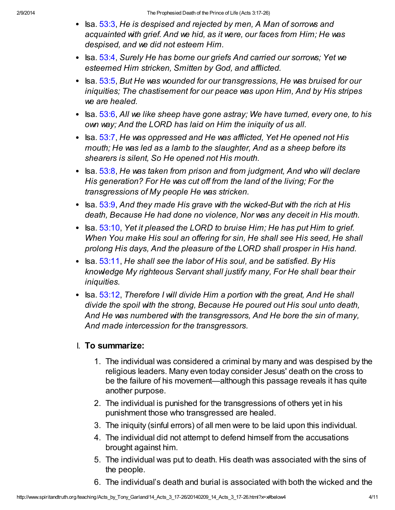- $\bullet$  Isa.  $53:3$ , He is despised and rejected by men, A Man of sorrows and acquainted with grief. And we hid, as it were, our faces from Him; He was despised, and we did not esteem Him.
- Isa. [53:4,](http://www.spiritandtruth.org/bibles/nasb/b23c053.htm#Isa._C53V4) Surely He has borne our griefs And carried our sorrows; Yet we esteemed Him stricken, Smitten by God, and afflicted.
- Isa. [53:5,](http://www.spiritandtruth.org/bibles/nasb/b23c053.htm#Isa._C53V5) But He was wounded for our transgressions, He was bruised for our iniquities; The chastisement for our peace was upon Him, And by His stripes we are healed.
- $\bullet$  Isa. [53:6,](http://www.spiritandtruth.org/bibles/nasb/b23c053.htm#Isa._C53V6) All we like sheep have gone astray; We have turned, every one, to his own way; And the LORD has laid on Him the iniquity of us all.
- Isa. [53:7,](http://www.spiritandtruth.org/bibles/nasb/b23c053.htm#Isa._C53V7) He was oppressed and He was afflicted, Yet He opened not His mouth; He was led as a lamb to the slaughter, And as a sheep before its shearers is silent, So He opened not His mouth.
- $\bullet$  Isa.  $53:8$ , He was taken from prison and from judgment, And who will declare His generation? For He was cut off from the land of the living; For the transgressions of My people He was stricken.
- Isa.  $53:9$ , And they made His grave with the wicked-But with the rich at His death, Because He had done no violence, Nor was any deceit in His mouth.
- $\bullet$  Isa. [53:10,](http://www.spiritandtruth.org/bibles/nasb/b23c053.htm#Isa._C53V10) Yet it pleased the LORD to bruise Him; He has put Him to grief. When You make His soul an offering for sin, He shall see His seed, He shall prolong His days, And the pleasure of the LORD shall prosper in His hand.
- $\bullet$  Isa. [53:11,](http://www.spiritandtruth.org/bibles/nasb/b23c053.htm#Isa._C53V11) He shall see the labor of His soul, and be satisfied. By His knowledge My righteous Servant shall justify many, For He shall bear their iniquities.
- $\bullet$  Isa. [53:12,](http://www.spiritandtruth.org/bibles/nasb/b23c053.htm#Isa._C53V12) Therefore I will divide Him a portion with the great, And He shall divide the spoil with the strong, Because He poured out His soul unto death, And He was numbered with the transgressors, And He bore the sin of many, And made intercession for the transgressors.

### I. To summarize:

- 1. The individual was considered a criminal by many and was despised by the religious leaders. Many even today consider Jesus' death on the cross to be the failure of his movement—although this passage reveals it has quite another purpose.
- 2. The individual is punished for the transgressions of others yet in his punishment those who transgressed are healed.
- 3. The iniquity (sinful errors) of all men were to be laid upon this individual.
- 4. The individual did not attempt to defend himself from the accusations brought against him.
- 5. The individual was put to death. His death was associated with the sins of the people.
- 6. The individual's death and burial is associated with both the wicked and the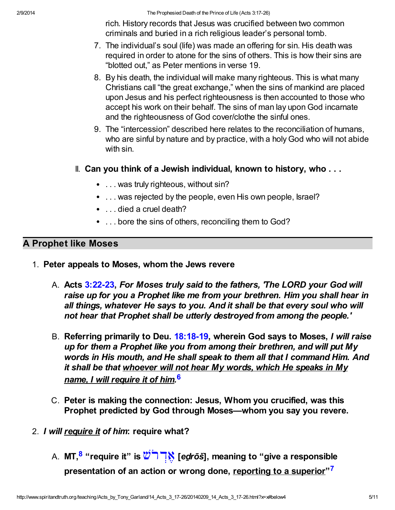rich. History records that Jesus was crucified between two common criminals and buried in a rich religious leader's personal tomb.

- 7. The individual's soul (life) was made an offering for sin. His death was required in order to atone for the sins of others. This is how their sins are "blotted out," as Peter mentions in verse 19.
- 8. By his death, the individual will make many righteous. This is what many Christians call "the great exchange," when the sins of mankind are placed upon Jesus and his perfect righteousness is then accounted to those who accept his work on their behalf. The sins of man lay upon God incarnate and the righteousness of God cover/clothe the sinful ones.
- 9. The "intercession" described here relates to the reconciliation of humans, who are sinful by nature and by practice, with a holy God who will not abide with sin.
- II. Can you think of a Jewish individual, known to history, who . . .
	- . . . was truly righteous, without sin?
	- ... was rejected by the people, even His own people, Israel?
	- . . . died a cruel death?
	- ... bore the sins of others, reconciling them to God?

# A Prophet like Moses

- 1. Peter appeals to Moses, whom the Jews revere
	- A. Acts [3:22-23](http://www.spiritandtruth.org/bibles/nasb/b44c003.htm#Acts_C3V22), For Moses truly said to the fathers, The LORD your God will raise up for you a Prophet like me from your brethren. Him you shall hear in all things, whatever He says to you. And it shall be that every soul who will not hear that Prophet shall be utterly destroyed from among the people.'
	- B. Referring primarily to Deu. [18:18-19,](http://www.spiritandtruth.org/bibles/nasb/b05c018.htm#Deu._C18V18) wherein God says to Moses, I will raise up for them a Prophet like you from among their brethren, and will put My words in His mouth, and He shall speak to them all that I command Him. And it shall be that whoever will not hear My words, which He speaks in My <u>name, I will require it of him</u>.<sup>[6](#page-9-3)</sup>
	- C. Peter is making the connection: Jesus, Whom you crucified, was this Prophet predicted by God through Moses—whom you say you revere.
- <span id="page-4-2"></span><span id="page-4-1"></span><span id="page-4-0"></span>2. I will require it of him: require what?
	- A. MT,<sup>[8](#page-9-4)</sup> "require it" is  $\complement\supseteq\mathbb{N}$  [ed̪rōš], meaning to "give a responsible presentation of an action or wrong done, <u>reporting to a superior</u>"<sup>[7](#page-9-5)</sup>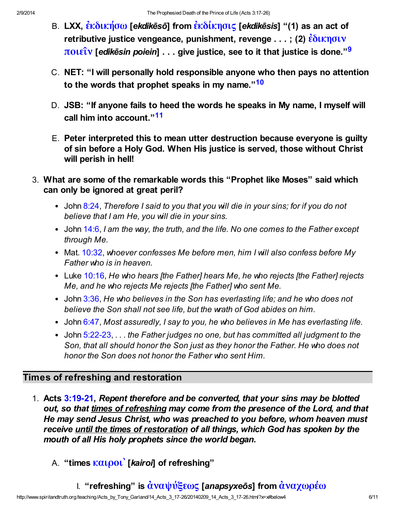- <span id="page-5-0"></span>B. LXX,  $\hat{\epsilon}$ κδικήσω [ekdikēsō] from  $\hat{\epsilon}$ κδίκησις [ekdikēsis] "(1) as an act of [retributive justice vengeance, punishment, revenge . . . ; \(2\)](http://www.spiritandtruth.org/fontsu/index.htm)  $\frac{\hat{\epsilon} \delta \iota \kappa \eta \sigma \iota \nu}{\epsilon}$ ποιεΐν [edikēsin poiein]  $\dots$  give justice, see to it that justice is done."<sup>[9](#page-9-6)</sup>
- <span id="page-5-1"></span>C. NET: "I will personally hold responsible anyone who then pays no attention to the words that prophet speaks in my name."<sup>[10](#page-9-7)</sup>
- <span id="page-5-2"></span>D. JSB: "If anyone fails to heed the words he speaks in My name, I myself will call him into account."<sup>[11](#page-9-8)</sup>
- E. Peter interpreted this to mean utter destruction because everyone is guilty of sin before a Holy God. When His justice is served, those without Christ will perish in hell!
- 3. What are some of the remarkable words this "Prophet like Moses" said which can only be ignored at great peril?
	- John [8:24,](http://www.spiritandtruth.org/bibles/nasb/b43c008.htm#John_C8V24) Therefore I said to you that you will die in your sins; for if you do not believe that I am He, you will die in your sins.
	- John [14:6,](http://www.spiritandtruth.org/bibles/nasb/b43c014.htm#John_C14V6) I am the way, the truth, and the life. No one comes to the Father except through Me.
	- Mat. [10:32,](http://www.spiritandtruth.org/bibles/nasb/b40c010.htm#Mat._C10V32) whoever confesses Me before men, him I will also confess before My Father who is in heaven.
	- Luke [10:16,](http://www.spiritandtruth.org/bibles/nasb/b42c010.htm#Luke_C10V16) He who hears [the Father] hears Me, he who rejects [the Father] rejects Me, and he who rejects Me rejects [the Father] who sent Me.
	- John [3:36,](http://www.spiritandtruth.org/bibles/nasb/b43c003.htm#John_C3V36) He who believes in the Son has everlasting life; and he who does not believe the Son shall not see life, but the wrath of God abides on him.
	- John [6:47,](http://www.spiritandtruth.org/bibles/nasb/b43c006.htm#John_C6V47) Most assuredly, I say to you, he who believes in Me has everlasting life.
	- John [5:22-23](http://www.spiritandtruth.org/bibles/nasb/b43c005.htm#John_C5V22),  $\dots$  the Father judges no one, but has committed all judgment to the Son, that all should honor the Son just as they honor the Father. He who does not honor the Son does not honor the Father who sent Him.

# Times of refreshing and restoration

- 1. Acts [3:19-21](http://www.spiritandtruth.org/bibles/nasb/b44c003.htm#Acts_C3V19), Repent therefore and be converted, that your sins may be blotted out, so that times of refreshing may come from the presence of the Lord, and that He may send Jesus Christ, who was preached to you before, whom heaven must receive until the times of restoration of all things, which God has spoken by the mouth of all His holy prophets since the world began.
	- A. "times  $καιροι'$  [kairoi] of refreshing"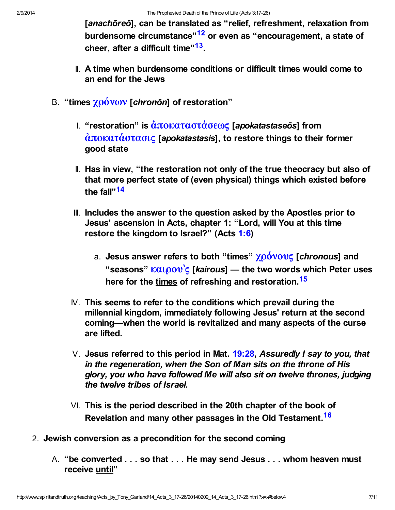<span id="page-6-1"></span><span id="page-6-0"></span>[anachōreō], can be translated as "relief, refreshment, relaxation from burdensome circumstance"<sup>[12](#page-9-9)</sup> or even as "encouragement, a state of cheer, after a difficult time"<sup>[13](#page-9-10)</sup>.

- II. A time when burdensome conditions or difficult times would come to an end for the Jews
- <span id="page-6-3"></span><span id="page-6-2"></span>B. "times  $χρόνων$  [chronōn] of restoration"
	- I. "restoration" is  $\dot{\alpha} \pi$ οκαταστάσεως [apokatastaseōs] from  $\dot{\alpha}$ ποκατ $\dot{\alpha}$ στασις [apokatastasis], to restore things to their former good state
	- II. Has in view, "the restoration not only of the true theocracy but also of that more perfect state of (even physical) things which existed before the fall"<sup>[14](#page-9-11)</sup>
	- III. Includes the answer to the question asked by the Apostles prior to Jesus' ascension in Acts, chapter 1: "Lord, will You at this time restore the kingdom to Israel?" (Acts [1:6\)](http://www.spiritandtruth.org/bibles/nasb/b44c001.htm#Acts_C1V6)
		- a. Jesus answer refers to both "times"  $χρόνους$  [chronous] and "seasons"  $καιρον$ 'ς [kairous] — the two words which Peter uses here for the times of refreshing and restoration.<sup>[15](#page-9-12)</sup>
	- $N$ . This seems to refer to the conditions which prevail during the millennial kingdom, immediately following Jesus' return at the second coming—when the world is revitalized and many aspects of the curse are lifted.
	- V. Jesus referred to this period in Mat.  $19:28$ . Assuredly I say to you, that in the regeneration, when the Son of Man sits on the throne of His glory, you who have followed Me will also sit on twelve thrones, judging the twelve tribes of Israel.
	- VI. This is the period described in the 20th chapter of the book of Revelation and many other passages in the Old Testament.<sup>[16](#page-9-13)</sup>
- <span id="page-6-4"></span>2. Jewish conversion as a precondition for the second coming
	- A. "be converted . . . so that . . . He may send Jesus . . . whom heaven must receive until"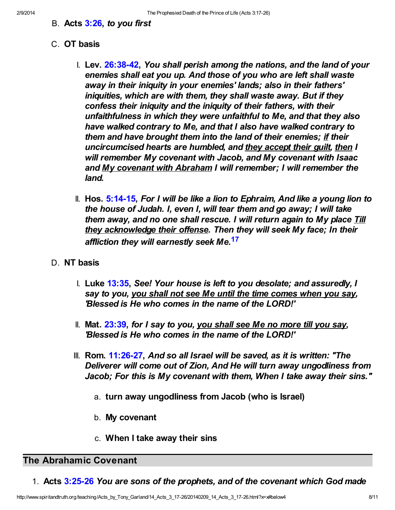B. Acts [3:26,](http://www.spiritandtruth.org/bibles/nasb/b44c003.htm#Acts_C3V26) to you first

### C. OT basis

- I. Lev. [26:38-42,](http://www.spiritandtruth.org/bibles/nasb/b03c026.htm#Lev._C26V38) You shall perish among the nations, and the land of your enemies shall eat you up. And those of you who are left shall waste away in their iniquity in your enemies' lands; also in their fathers' iniquities, which are with them, they shall waste away. But if they confess their iniquity and the iniquity of their fathers, with their unfaithfulness in which they were unfaithful to Me, and that they also have walked contrary to Me, and that I also have walked contrary to them and have brought them into the land of their enemies; if their uncircumcised hearts are humbled, and they accept their guilt, then I will remember My covenant with Jacob, and My covenant with Isaac and My covenant with Abraham I will remember; I will remember the land.
- <span id="page-7-0"></span>II. Hos.  $5:14-15$ , For I will be like a lion to Ephraim, And like a young lion to the house of Judah. I, even I, will tear them and go away; I will take them away, and no one shall rescue. I will return again to My place Till they acknowledge their offense. Then they will seek My face; In their affliction they will earnestly seek Me.<sup>[17](#page-9-14)</sup>
- D. NT basis
	- I. Luke [13:35,](http://www.spiritandtruth.org/bibles/nasb/b42c013.htm#Luke_C13V35) See! Your house is left to you desolate; and assuredly, I say to you, you shall not see Me until the time comes when you say, 'Blessed is He who comes in the name of the LORD!'
	- II. Mat. [23:39,](http://www.spiritandtruth.org/bibles/nasb/b40c023.htm#Mat._C23V39) for I say to you, you shall see Me no more till you say, 'Blessed is He who comes in the name of the LORD!'
	- $III.$  Rom. [11:26-27](http://www.spiritandtruth.org/bibles/nasb/b45c011.htm#Rom._C11V26), And so all Israel will be saved, as it is written: "The Deliverer will come out of Zion, And He will turn away ungodliness from Jacob; For this is My covenant with them, When I take away their sins."
		- a. turn away ungodliness from Jacob (who is Israel)
		- b. My covenant
		- c. When I take away their sins

### The Abrahamic Covenant

1. Acts [3:25-26](http://www.spiritandtruth.org/bibles/nasb/b44c003.htm#Acts_C3V25) You are sons of the prophets, and of the covenant which God made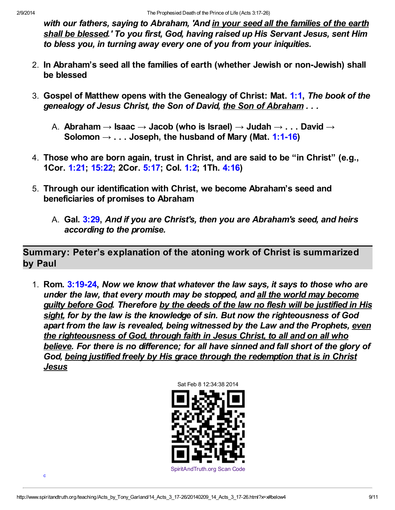with our fathers, saying to Abraham, 'And in your seed all the families of the earth shall be blessed.' To you first, God, having raised up His Servant Jesus, sent Him to bless you, in turning away every one of you from your iniquities.

- 2. In Abraham's seed all the families of earth (whether Jewish or non-Jewish) shall be blessed
- 3. Gospel of Matthew opens with the Genealogy of Christ: Mat. [1:1,](http://www.spiritandtruth.org/bibles/nasb/b40c001.htm#Mat._C1V1) The book of the genealogy of Jesus Christ, the Son of David, the Son of Abraham . . .
	- A. Abraham  $\rightarrow$  Isaac  $\rightarrow$  Jacob (who is Israel)  $\rightarrow$  Judah  $\rightarrow$  . . . David  $\rightarrow$ Solomon  $\rightarrow$  ... Joseph, the husband of Mary (Mat. [1:1-16\)](http://www.spiritandtruth.org/bibles/nasb/b40c001.htm#Mat._C1V1)
- 4. Those who are born again, trust in Christ, and are said to be "in Christ" (e.g., 1Cor. [1:21](http://www.spiritandtruth.org/bibles/nasb/b46c001.htm#1Cor._C1V21); [15:22;](http://www.spiritandtruth.org/bibles/nasb/b46c015.htm#1Cor._C15V22) 2Cor. [5:17](http://www.spiritandtruth.org/bibles/nasb/b47c005.htm#2Cor._C5V17); Col. [1:2](http://www.spiritandtruth.org/bibles/nasb/b51c001.htm#Col._C1V2); 1Th. [4:16\)](http://www.spiritandtruth.org/bibles/nasb/b52c004.htm#1Th._C4V16)
- 5. Through our identification with Christ, we become Abraham's seed and beneficiaries of promises to Abraham
	- A. Gal. [3:29,](http://www.spiritandtruth.org/bibles/nasb/b48c003.htm#Gal._C3V29) And if you are Christ's, then you are Abraham's seed, and heirs according to the promise.

Summary: Peter's explanation of the atoning work of Christ is summarized by Paul

1. Rom. [3:19-24,](http://www.spiritandtruth.org/bibles/nasb/b45c003.htm#Rom._C3V19) Now we know that whatever the law says, it says to those who are under the law, that every mouth may be stopped, and all the world may become guilty before God. Therefore by the deeds of the law no flesh will be justified in His sight, for by the law is the knowledge of sin. But now the righteousness of God apart from the law is revealed, being witnessed by the Law and the Prophets, even the righteousness of God, through faith in Jesus Christ, to all and on all who believe. For there is no difference; for all have sinned and fall short of the glory of God, being justified freely by His grace through the redemption that is in Christ **Jesus** 

Sat Feb 8 12:34:38 2014

<span id="page-8-0"></span>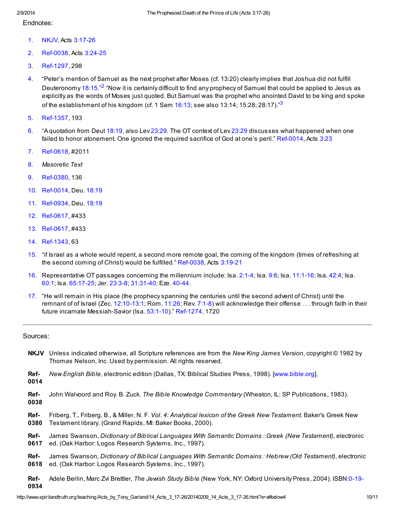#### Endnotes:

- <span id="page-9-0"></span>[1.](#page-0-0) NKJV, Acts [3:17-26](http://www.spiritandtruth.org/bibles/nasb/b44c003.htm#Acts_C3V17)
- <span id="page-9-17"></span>[2.](#page-9-15) Ref-0038, Acts [3:24-25](http://www.spiritandtruth.org/bibles/nasb/b44c003.htm#Acts_C3V24)
- <span id="page-9-18"></span>[3.](#page-9-16) Ref-1297, 298
- <span id="page-9-15"></span><span id="page-9-1"></span>[4.](#page-1-0) "Peter's mention of Samuel as the next prophet after Moses (cf. 13:20) clearly implies that Joshua did not fulfill Deuteronomy [18:15.](http://www.spiritandtruth.org/bibles/nasb/b05c018.htm#Deu._C18V15)"<sup>[2](#page-9-17)</sup> "Now it is certainly difficult to find any prophecy of Samuel that could be applied to Jesus as explicitly as the words of Moses just quoted. But Samuel was the prophet who anointed David to be king and spoke of the establishment of his kingdom (cf. 1 Sam  $16:13$  $16:13$ ; see also 13:14; 15:28; 28:17)." $3$
- <span id="page-9-16"></span><span id="page-9-2"></span>[5.](#page-1-1) Ref-1357, 193
- <span id="page-9-3"></span>[6.](#page-4-0) "A quotation from Deut [18:19,](http://www.spiritandtruth.org/bibles/nasb/b05c018.htm#Deu._C18V19) also Lev [23:29.](http://www.spiritandtruth.org/bibles/nasb/b03c023.htm#Lev._C23V29) The OT context of Lev [23:29](http://www.spiritandtruth.org/bibles/nasb/b03c023.htm#Lev._C23V29) discusses what happened when one failed to honor atonement. One ignored the required sacrifice of God at one's peril." Ref-0014, Acts [3:23](http://www.spiritandtruth.org/bibles/nasb/b44c003.htm#Acts_C3V23)
- <span id="page-9-5"></span>[7.](#page-4-1) Ref-0618, #2011
- <span id="page-9-4"></span>[8.](#page-4-2) Masoretic Text
- <span id="page-9-6"></span>[9.](#page-5-0) Ref-0380, 136
- <span id="page-9-7"></span>[10.](#page-5-1) Ref-0014, Deu. [18:19](http://www.spiritandtruth.org/bibles/nasb/b05c018.htm#Deu._C18V19)
- <span id="page-9-8"></span>[11.](#page-5-2) Ref-0934, Deu. [18:19](http://www.spiritandtruth.org/bibles/nasb/b05c018.htm#Deu._C18V19)
- <span id="page-9-9"></span>[12.](#page-6-0) Ref-0617, #433
- <span id="page-9-10"></span>[13.](#page-6-1) Ref-0617, #433
- <span id="page-9-11"></span>[14.](#page-6-2) Ref-1343, 63
- <span id="page-9-12"></span>[15.](#page-6-3) "if Israel as a whole would repent, a second more remote goal, the coming of the kingdom (times of refreshing at the second coming of Christ) would be fulfilled." Ref-0038, Acts [3:19-21](http://www.spiritandtruth.org/bibles/nasb/b44c003.htm#Acts_C3V19)
- <span id="page-9-13"></span>[16.](#page-6-4) Representative OT passages concerning the millennium include: Isa. [2:1-4](http://www.spiritandtruth.org/bibles/nasb/b23c002.htm#Isa._C2V1); Isa. [9:6](http://www.spiritandtruth.org/bibles/nasb/b23c009.htm#Isa._C9V6); Isa. [11:1-16](http://www.spiritandtruth.org/bibles/nasb/b23c011.htm#Isa._C11V1); Isa. [42:4;](http://www.spiritandtruth.org/bibles/nasb/b23c042.htm#Isa._C42V4) Isa. [60:1](http://www.spiritandtruth.org/bibles/nasb/b23c060.htm#Isa._C60V1); Isa. [65:17-25;](http://www.spiritandtruth.org/bibles/nasb/b23c065.htm#Isa._C65V17) Jer. [23:3-8;](http://www.spiritandtruth.org/bibles/nasb/b24c023.htm#Jer._C23V3) [31:31-40](http://www.spiritandtruth.org/bibles/nasb/b24c031.htm#Jer._C31V31); Eze. [40-44](http://www.spiritandtruth.org/bibles/nasb/b26c040.htm#Eze._C40V1).
- <span id="page-9-14"></span>[17.](#page-7-0) "He will remain in His place (the prophecy spanning the centuries until the second advent of Christ) until the remnant of of Israel (Zec. [12:10-13:](http://www.spiritandtruth.org/bibles/nasb/b38c012.htm#Zec._C12V10)[1;](http://www.spiritandtruth.org/bibles/nasb/b38c012.htm#Zec._C12V1) Rom. [11:26;](http://www.spiritandtruth.org/bibles/nasb/b45c011.htm#Rom._C11V26) Rev. [7:1-8\)](http://www.spiritandtruth.org/bibles/nasb/b66c007.htm#Rev._C7V1) will acknowledge their offense . . . through faith in their future incarnate Messiah-Savior (Isa. [53:1-10](http://www.spiritandtruth.org/bibles/nasb/b23c053.htm#Isa._C53V1))." Ref-1274, 1720

#### Sources:

- NKJV Unless indicated otherwise, all Scripture references are from the New King James Version, copyright © 1982 by Thomas Nelson, Inc. Used by permission. All rights reserved.
- Ref-New English Bible, electronic edition (Dallas, TX: Biblical Studies Press, 1998). [\[www.bible.org\]](http://www.bible.org/).
- 0014
- Ref-0038 John Walvoord and Roy. B. Zuck. The Bible Knowledge Commentary (Wheaton, IL: SP Publications, 1983).
- Ref-0380 Friberg, T., Friberg, B., & Miller, N. F. Vol. 4: Analytical lexicon of the Greek New Testament. Baker's Greek New Testament library. (Grand Rapids, MI: Baker Books, 2000).
- Ref-0617 James Swanson, Dictionary of Biblical Languages With Semantic Domains : Greek (New Testament), electronic ed. (Oak Harbor: Logos Research Systems, Inc., 1997).
- Ref-0618 James Swanson, Dictionary of Biblical Languages With Semantic Domains : Hebrew (Old Testament), electronic ed. (Oak Harbor: Logos Research Systems, Inc., 1997).
- Ref-0934 Adele Berlin, Marc Zvi Brettler, The Jewish Study Bible (New York, NY: Oxford University Press, 2004). ISBN:0-19-